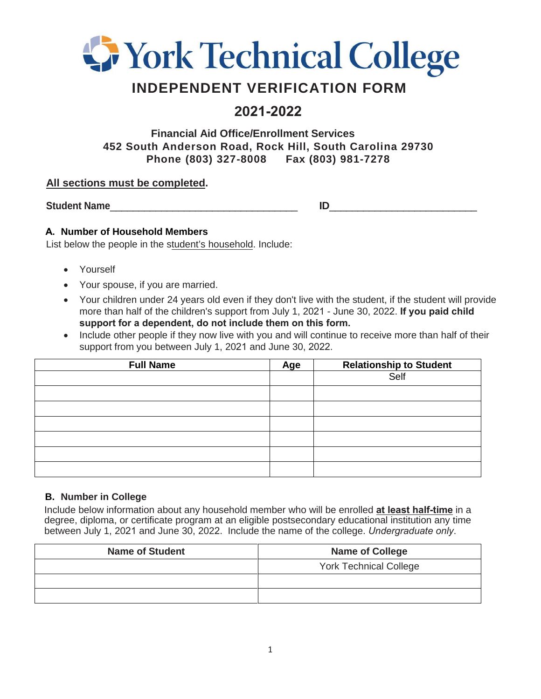

# **INDEPENDENT VERIFICATION FORM**

# **2021-2022**

**Financial Aid Office/Enrollment Services 452 South Anderson Road, Rock Hill, South Carolina 29730 Phone (803) 327-8008 Fax (803) 981-7278**

### **All sections must be completed.**

Student Name

### **A. Number of Household Members**

List below the people in the student's household. Include:

- Yourself
- Your spouse, if you are married.
- Your children under 24 years old even if they don't live with the student, if the student will provide more than half of the children's support from July 1, 2021 - June 30, 2022. **If you paid child support for a dependent, do not include them on this form.**
- Include other people if they now live with you and will continue to receive more than half of their support from you between July 1, 2021 and June 30, 2022.

| <b>Full Name</b> | Age | <b>Relationship to Student</b> |  |
|------------------|-----|--------------------------------|--|
|                  |     | Self                           |  |
|                  |     |                                |  |
|                  |     |                                |  |
|                  |     |                                |  |
|                  |     |                                |  |
|                  |     |                                |  |
|                  |     |                                |  |

#### **B. Number in College**

Include below information about any household member who will be enrolled **at least half-time** in a degree, diploma, or certificate program at an eligible postsecondary educational institution any time between July 1, 2021 and June 30, 2022. Include the name of the college. *Undergraduate only*.

| <b>Name of Student</b> | <b>Name of College</b>        |  |
|------------------------|-------------------------------|--|
|                        | <b>York Technical College</b> |  |
|                        |                               |  |
|                        |                               |  |